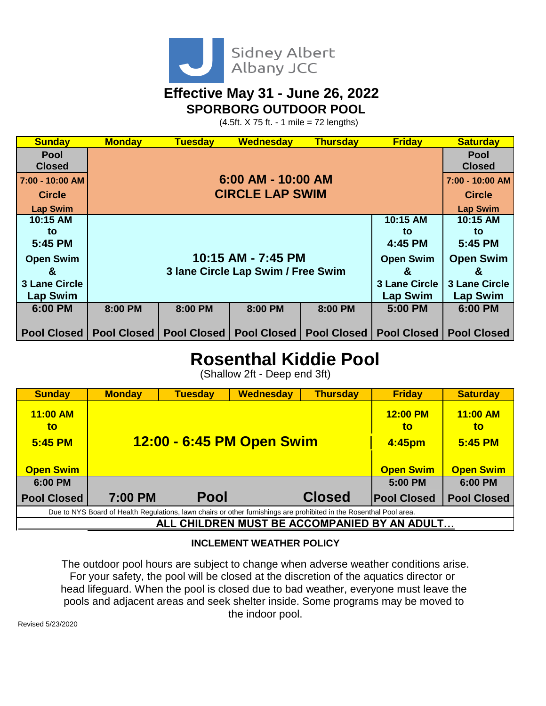

### **Effective May 31 - June 26, 2022 SPORBORG OUTDOOR POOL**

 $(4.5ft. X 75 ft. - 1 mile = 72 lengths)$ 

| <b>Sunday</b>        | <b>Monday</b> | <b>Tuesday</b>                     | <b>Wednesday</b> | <b>Thursday</b>                  | <b>Friday</b>        | <b>Saturday</b>    |
|----------------------|---------------|------------------------------------|------------------|----------------------------------|----------------------|--------------------|
| <b>Pool</b>          |               |                                    |                  |                                  |                      | <b>Pool</b>        |
| <b>Closed</b>        |               | <b>Closed</b>                      |                  |                                  |                      |                    |
| 7:00 - 10:00 AM      |               | 7:00 - 10:00 AM                    |                  |                                  |                      |                    |
| <b>Circle</b>        |               | <b>Circle</b>                      |                  |                                  |                      |                    |
| <b>Lap Swim</b>      |               |                                    |                  |                                  |                      | <b>Lap Swim</b>    |
| 10:15 AM             |               |                                    |                  |                                  | 10:15 AM             | 10:15 AM           |
| to                   |               |                                    |                  |                                  | to                   | to                 |
| 5:45 PM              |               | 4:45 PM                            | 5:45 PM          |                                  |                      |                    |
| <b>Open Swim</b>     |               | 10:15 AM - 7:45 PM                 | <b>Open Swim</b> | <b>Open Swim</b>                 |                      |                    |
| &                    |               | 3 Iane Circle Lap Swim / Free Swim | &                | &                                |                      |                    |
| <b>3 Lane Circle</b> |               | <b>3 Lane Circle</b>               |                  |                                  |                      |                    |
| <b>Lap Swim</b>      |               | <b>Lap Swim</b>                    |                  |                                  |                      |                    |
| 6:00 PM              | 8:00 PM       | 8:00 PM                            | 8:00 PM          | 8:00 PM                          | 5:00 PM              | 6:00 PM            |
|                      |               |                                    |                  |                                  |                      |                    |
| <b>Pool Closed</b>   |               | <b>Pool Closed   Pool Closed  </b> |                  | <b>Pool Closed   Pool Closed</b> | <b>Pool Closed  </b> | <b>Pool Closed</b> |

## **Rosenthal Kiddie Pool**

(Shallow 2ft - Deep end 3ft)

| <b>Sunday</b>                                                                                                       | <b>Monday</b> | <b>Tuesday</b>            | <b>Wednesday</b> | <b>Thursday</b>  | <b>Friday</b>      | <b>Saturday</b>    |  |  |  |
|---------------------------------------------------------------------------------------------------------------------|---------------|---------------------------|------------------|------------------|--------------------|--------------------|--|--|--|
| 11:00 AM<br>to                                                                                                      |               |                           | 12:00 PM<br>to   | $11:00$ AM<br>to |                    |                    |  |  |  |
| 5:45 PM                                                                                                             |               | 12:00 - 6:45 PM Open Swim | 4:45pm           | 5:45 PM          |                    |                    |  |  |  |
|                                                                                                                     |               |                           |                  |                  |                    |                    |  |  |  |
| <b>Open Swim</b>                                                                                                    |               |                           |                  |                  | <b>Open Swim</b>   | <b>Open Swim</b>   |  |  |  |
| 6:00 PM                                                                                                             |               |                           |                  |                  | 5:00 PM            | 6:00 PM            |  |  |  |
| <b>Pool Closed</b>                                                                                                  | 7:00 PM       | <b>Pool</b>               |                  | <b>Closed</b>    | <b>Pool Closed</b> | <b>Pool Closed</b> |  |  |  |
| Due to NYS Board of Health Regulations, lawn chairs or other furnishings are prohibited in the Rosenthal Pool area. |               |                           |                  |                  |                    |                    |  |  |  |
| ALL CHILDREN MUST BE ACCOMPANIED BY AN ADULT                                                                        |               |                           |                  |                  |                    |                    |  |  |  |

#### **INCLEMENT WEATHER POLICY**

The outdoor pool hours are subject to change when adverse weather conditions arise. For your safety, the pool will be closed at the discretion of the aquatics director or head lifeguard. When the pool is closed due to bad weather, everyone must leave the pools and adjacent areas and seek shelter inside. Some programs may be moved to the indoor pool.

Revised 5/23/2020